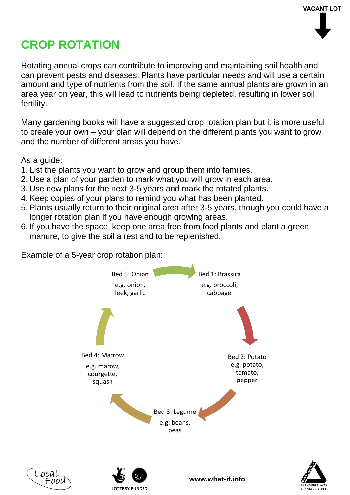## **CROP ROTATION**

Rotating annual crops can contribute to improving and maintaining soil health and can prevent pests and diseases. Plants have particular needs and will use a certain amount and type of nutrients from the soil. If the same annual plants are grown in an area year on year, this will lead to nutrients being depleted, resulting in lower soil fertility.

Many gardening books will have a suggested crop rotation plan but it is more useful to create your own – your plan will depend on the different plants you want to grow and the number of different areas you have.

As a guide:

\_ocal

- 1. List the plants you want to grow and group them into families.
- 2. Use a plan of your garden to mark what you will grow in each area.
- 3. Use new plans for the next 3-5 years and mark the rotated plants.
- 4. Keep copies of your plans to remind you what has been planted.
- 5. Plants usually return to their original area after 3-5 years, though you could have a longer rotation plan if you have enough growing areas.
- 6. If you have the space, keep one area free from food plants and plant a green manure, to give the soil a rest and to be replenished.

Example of a 5-year crop rotation plan:



**LOTTERY FUNDED** 

**www.what-if.info**

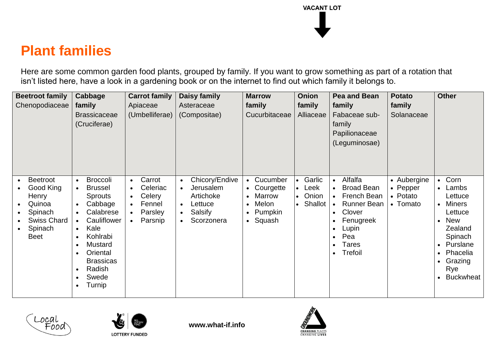**VACANT LOT** 

## **Plant families**

Here are some common garden food plants, grouped by family. If you want to grow something as part of a rotation that isn't listed here, have a look in a gardening book or on the internet to find out which family it belongs to.

| <b>Beetroot family</b><br>Chenopodiaceae                                                                                             | Cabbage<br>family<br><b>Brassicaceae</b><br>(Cruciferae)                                                                                                                                                                                                                                                                 | <b>Carrot family</b><br>Apiaceae<br>(Umbelliferae)                                                                            | Daisy family<br>Asteraceae<br>(Compositae)                                                                                                    | <b>Marrow</b><br>family<br>Cucurbitaceae                                                                                                           | <b>Onion</b><br>family<br>Alliaceae                                       | Pea and Bean<br>family<br>Fabaceae sub-<br>family<br>Papilionaceae<br>(Leguminosae)                                                                                              | <b>Potato</b><br>family<br>Solanaceae           | <b>Other</b>                                                                                                                                                                                                                                        |
|--------------------------------------------------------------------------------------------------------------------------------------|--------------------------------------------------------------------------------------------------------------------------------------------------------------------------------------------------------------------------------------------------------------------------------------------------------------------------|-------------------------------------------------------------------------------------------------------------------------------|-----------------------------------------------------------------------------------------------------------------------------------------------|----------------------------------------------------------------------------------------------------------------------------------------------------|---------------------------------------------------------------------------|----------------------------------------------------------------------------------------------------------------------------------------------------------------------------------|-------------------------------------------------|-----------------------------------------------------------------------------------------------------------------------------------------------------------------------------------------------------------------------------------------------------|
| <b>Beetroot</b><br>$\bullet$<br>Good King<br>Henry<br>Quinoa<br>Spinach<br>$\bullet$<br><b>Swiss Chard</b><br>Spinach<br><b>Beet</b> | <b>Broccoli</b><br>$\bullet$<br><b>Brussel</b><br>$\bullet$<br><b>Sprouts</b><br>Cabbage<br>$\bullet$<br>Calabrese<br>$\bullet$<br>Cauliflower<br>$\bullet$<br>Kale<br>$\bullet$<br>Kohlrabi<br>$\bullet$<br>Mustard<br>$\bullet$<br>Oriental<br><b>Brassicas</b><br>Radish<br>$\bullet$<br>Swede<br>Turnip<br>$\bullet$ | Carrot<br>$\bullet$<br>Celeriac<br>$\bullet$<br>Celery<br>$\bullet$<br>Fennel<br>Parsley<br>$\bullet$<br>Parsnip<br>$\bullet$ | Chicory/Endive<br>$\bullet$<br>Jerusalem<br>$\bullet$<br>Artichoke<br>Lettuce<br>$\bullet$<br>Salsify<br>$\bullet$<br>Scorzonera<br>$\bullet$ | Cucumber<br>$\bullet$<br>Courgette<br>$\bullet$<br><b>Marrow</b><br>$\bullet$<br>Melon<br>$\bullet$<br>Pumpkin<br>$\bullet$<br>Squash<br>$\bullet$ | Garlic<br>$\bullet$<br>Leek<br>$\bullet$<br>Onion<br>Shallot<br>$\bullet$ | Alfalfa<br>$\bullet$<br><b>Broad Bean</b><br>$\bullet$<br>French Bean<br>$\bullet$<br><b>Runner Bean</b><br>Clover<br>Fenugreek<br>Lupin<br>Pea<br>Tares<br>Trefoil<br>$\bullet$ | • Aubergine<br>• Pepper<br>• Potato<br>• Tomato | Corn<br>$\bullet$<br>• Lambs<br>Lettuce<br><b>Miners</b><br>$\bullet$<br>Lettuce<br><b>New</b><br>$\bullet$<br>Zealand<br>Spinach<br>Purslane<br>$\bullet$<br>Phacelia<br>$\bullet$<br>Grazing<br>$\bullet$<br>Rye<br><b>Buckwheat</b><br>$\bullet$ |